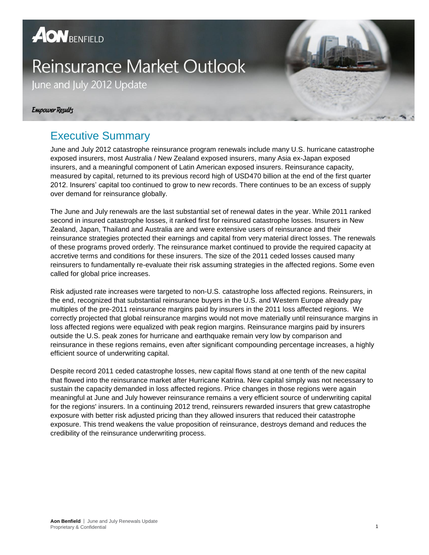# **AON** BENFIELD

# **Reinsurance Market Outlook**

June and July 2012 Update

#### **Empower Results**

### Executive Summary

June and July 2012 catastrophe reinsurance program renewals include many U.S. hurricane catastrophe exposed insurers, most Australia / New Zealand exposed insurers, many Asia ex-Japan exposed insurers, and a meaningful component of Latin American exposed insurers. Reinsurance capacity, measured by capital, returned to its previous record high of USD470 billion at the end of the first quarter 2012. Insurers' capital too continued to grow to new records. There continues to be an excess of supply over demand for reinsurance globally.

The June and July renewals are the last substantial set of renewal dates in the year. While 2011 ranked second in insured catastrophe losses, it ranked first for reinsured catastrophe losses. Insurers in New Zealand, Japan, Thailand and Australia are and were extensive users of reinsurance and their reinsurance strategies protected their earnings and capital from very material direct losses. The renewals of these programs proved orderly. The reinsurance market continued to provide the required capacity at accretive terms and conditions for these insurers. The size of the 2011 ceded losses caused many reinsurers to fundamentally re-evaluate their risk assuming strategies in the affected regions. Some even called for global price increases.

Risk adjusted rate increases were targeted to non-U.S. catastrophe loss affected regions. Reinsurers, in the end, recognized that substantial reinsurance buyers in the U.S. and Western Europe already pay multiples of the pre-2011 reinsurance margins paid by insurers in the 2011 loss affected regions. We correctly projected that global reinsurance margins would not move materially until reinsurance margins in loss affected regions were equalized with peak region margins. Reinsurance margins paid by insurers outside the U.S. peak zones for hurricane and earthquake remain very low by comparison and reinsurance in these regions remains, even after significant compounding percentage increases, a highly efficient source of underwriting capital.

Despite record 2011 ceded catastrophe losses, new capital flows stand at one tenth of the new capital that flowed into the reinsurance market after Hurricane Katrina. New capital simply was not necessary to sustain the capacity demanded in loss affected regions. Price changes in those regions were again meaningful at June and July however reinsurance remains a very efficient source of underwriting capital for the regions' insurers. In a continuing 2012 trend, reinsurers rewarded insurers that grew catastrophe exposure with better risk adjusted pricing than they allowed insurers that reduced their catastrophe exposure. This trend weakens the value proposition of reinsurance, destroys demand and reduces the credibility of the reinsurance underwriting process.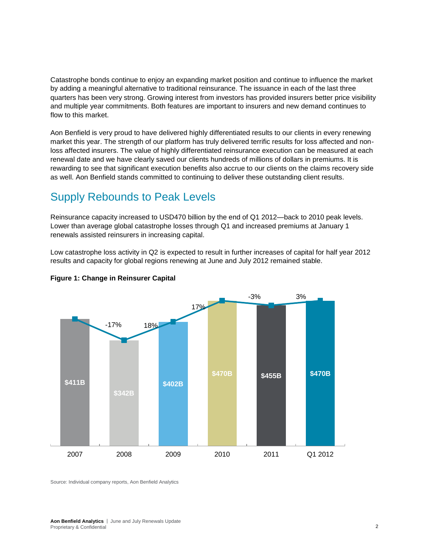Catastrophe bonds continue to enjoy an expanding market position and continue to influence the market by adding a meaningful alternative to traditional reinsurance. The issuance in each of the last three quarters has been very strong. Growing interest from investors has provided insurers better price visibility and multiple year commitments. Both features are important to insurers and new demand continues to flow to this market.

Aon Benfield is very proud to have delivered highly differentiated results to our clients in every renewing market this year. The strength of our platform has truly delivered terrific results for loss affected and nonloss affected insurers. The value of highly differentiated reinsurance execution can be measured at each renewal date and we have clearly saved our clients hundreds of millions of dollars in premiums. It is rewarding to see that significant execution benefits also accrue to our clients on the claims recovery side as well. Aon Benfield stands committed to continuing to deliver these outstanding client results.

#### Supply Rebounds to Peak Levels

Reinsurance capacity increased to USD470 billion by the end of Q1 2012—back to 2010 peak levels. Lower than average global catastrophe losses through Q1 and increased premiums at January 1 renewals assisted reinsurers in increasing capital.

Low catastrophe loss activity in Q2 is expected to result in further increases of capital for half year 2012 results and capacity for global regions renewing at June and July 2012 remained stable.



#### **Figure 1: Change in Reinsurer Capital**

Source: Individual company reports, Aon Benfield Analytics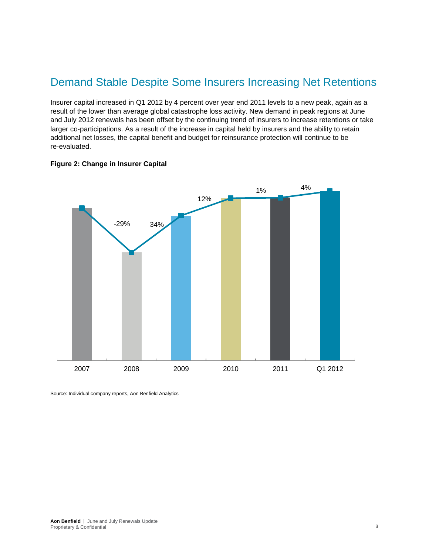### Demand Stable Despite Some Insurers Increasing Net Retentions

Insurer capital increased in Q1 2012 by 4 percent over year end 2011 levels to a new peak, again as a result of the lower than average global catastrophe loss activity. New demand in peak regions at June and July 2012 renewals has been offset by the continuing trend of insurers to increase retentions or take larger co-participations. As a result of the increase in capital held by insurers and the ability to retain additional net losses, the capital benefit and budget for reinsurance protection will continue to be re-evaluated.





Source: Individual company reports, Aon Benfield Analytics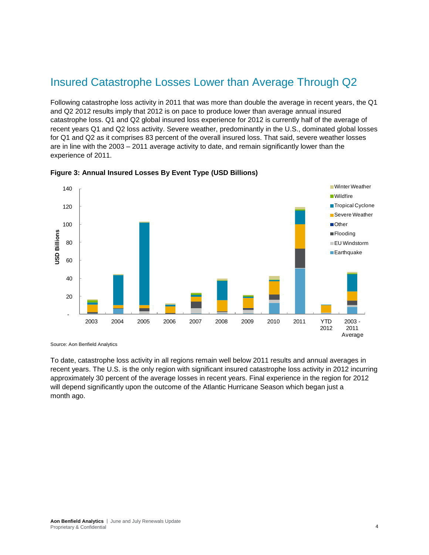### Insured Catastrophe Losses Lower than Average Through Q2

Following catastrophe loss activity in 2011 that was more than double the average in recent years, the Q1 and Q2 2012 results imply that 2012 is on pace to produce lower than average annual insured catastrophe loss. Q1 and Q2 global insured loss experience for 2012 is currently half of the average of recent years Q1 and Q2 loss activity. Severe weather, predominantly in the U.S., dominated global losses for Q1 and Q2 as it comprises 83 percent of the overall insured loss. That said, severe weather losses are in line with the 2003 – 2011 average activity to date, and remain significantly lower than the experience of 2011.



**Figure 3: Annual Insured Losses By Event Type (USD Billions)**

Source: Aon Benfield Analytics

To date, catastrophe loss activity in all regions remain well below 2011 results and annual averages in recent years. The U.S. is the only region with significant insured catastrophe loss activity in 2012 incurring approximately 30 percent of the average losses in recent years. Final experience in the region for 2012 will depend significantly upon the outcome of the Atlantic Hurricane Season which began just a month ago.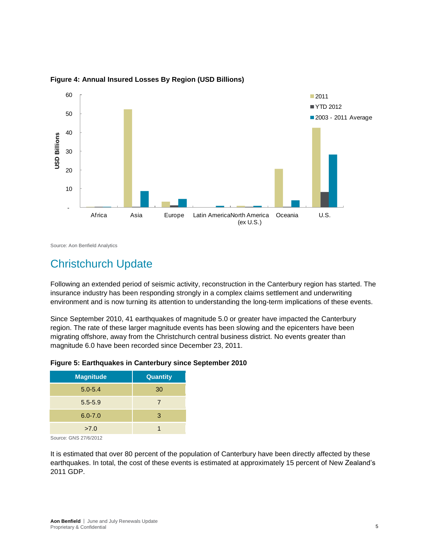

**Figure 4: Annual Insured Losses By Region (USD Billions)**

Source: Aon Benfield Analytics

### Christchurch Update

Following an extended period of seismic activity, reconstruction in the Canterbury region has started. The insurance industry has been responding strongly in a complex claims settlement and underwriting environment and is now turning its attention to understanding the long-term implications of these events.

Since September 2010, 41 earthquakes of magnitude 5.0 or greater have impacted the Canterbury region. The rate of these larger magnitude events has been slowing and the epicenters have been migrating offshore, away from the Christchurch central business district. No events greater than magnitude 6.0 have been recorded since December 23, 2011.

| Figure 5: Earthquakes in Canterbury since September 2010 |
|----------------------------------------------------------|
|----------------------------------------------------------|

| <b>Magnitude</b> | Quantity |
|------------------|----------|
| $5.0 - 5.4$      | 30       |
| $5.5 - 5.9$      | 7        |
| $6.0 - 7.0$      | 3        |
| >7.0             |          |

Source: GNS 27/6/2012

It is estimated that over 80 percent of the population of Canterbury have been directly affected by these earthquakes. In total, the cost of these events is estimated at approximately 15 percent of New Zealand's 2011 GDP.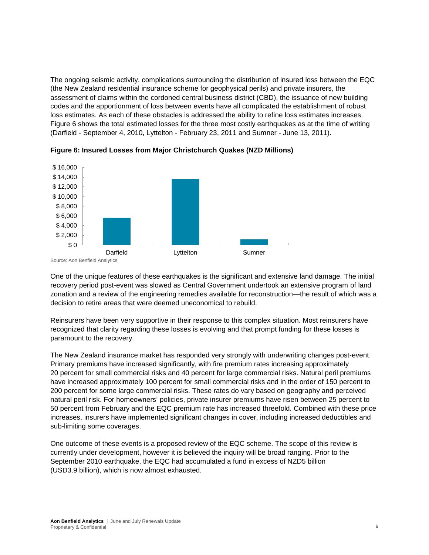The ongoing seismic activity, complications surrounding the distribution of insured loss between the EQC (the New Zealand residential insurance scheme for geophysical perils) and private insurers, the assessment of claims within the cordoned central business district (CBD), the issuance of new building codes and the apportionment of loss between events have all complicated the establishment of robust loss estimates. As each of these obstacles is addressed the ability to refine loss estimates increases. Figure 6 shows the total estimated losses for the three most costly earthquakes as at the time of writing (Darfield - September 4, 2010, Lyttelton - February 23, 2011 and Sumner - June 13, 2011).



**Figure 6: Insured Losses from Major Christchurch Quakes (NZD Millions)**

One of the unique features of these earthquakes is the significant and extensive land damage. The initial recovery period post-event was slowed as Central Government undertook an extensive program of land zonation and a review of the engineering remedies available for reconstruction—the result of which was a decision to retire areas that were deemed uneconomical to rebuild.

Reinsurers have been very supportive in their response to this complex situation. Most reinsurers have recognized that clarity regarding these losses is evolving and that prompt funding for these losses is paramount to the recovery.

The New Zealand insurance market has responded very strongly with underwriting changes post-event. Primary premiums have increased significantly, with fire premium rates increasing approximately 20 percent for small commercial risks and 40 percent for large commercial risks. Natural peril premiums have increased approximately 100 percent for small commercial risks and in the order of 150 percent to 200 percent for some large commercial risks. These rates do vary based on geography and perceived natural peril risk. For homeowners' policies, private insurer premiums have risen between 25 percent to 50 percent from February and the EQC premium rate has increased threefold. Combined with these price increases, insurers have implemented significant changes in cover, including increased deductibles and sub-limiting some coverages.

One outcome of these events is a proposed review of the EQC scheme. The scope of this review is currently under development, however it is believed the inquiry will be broad ranging. Prior to the September 2010 earthquake, the EQC had accumulated a fund in excess of NZD5 billion (USD3.9 billion), which is now almost exhausted.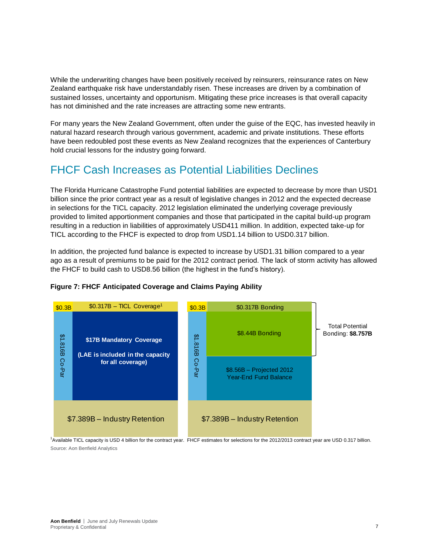While the underwriting changes have been positively received by reinsurers, reinsurance rates on New Zealand earthquake risk have understandably risen. These increases are driven by a combination of sustained losses, uncertainty and opportunism. Mitigating these price increases is that overall capacity has not diminished and the rate increases are attracting some new entrants.

For many years the New Zealand Government, often under the guise of the EQC, has invested heavily in natural hazard research through various government, academic and private institutions. These efforts have been redoubled post these events as New Zealand recognizes that the experiences of Canterbury hold crucial lessons for the industry going forward.

### FHCF Cash Increases as Potential Liabilities Declines

The Florida Hurricane Catastrophe Fund potential liabilities are expected to decrease by more than USD1 billion since the prior contract year as a result of legislative changes in 2012 and the expected decrease in selections for the TICL capacity. 2012 legislation eliminated the underlying coverage previously provided to limited apportionment companies and those that participated in the capital build-up program resulting in a reduction in liabilities of approximately USD411 million. In addition, expected take-up for TICL according to the FHCF is expected to drop from USD1.14 billion to USD0.317 billion.

In addition, the projected fund balance is expected to increase by USD1.31 billion compared to a year ago as a result of premiums to be paid for the 2012 contract period. The lack of storm activity has allowed the FHCF to build cash to USD8.56 billion (the highest in the fund's history).



#### **Figure 7: FHCF Anticipated Coverage and Claims Paying Ability**

<sup>1</sup>Available TICL capacity is USD 4 billion for the contract year. FHCF estimates for selections for the 2012/2013 contract year are USD 0.317 billion. Source: Aon Benfield Analytics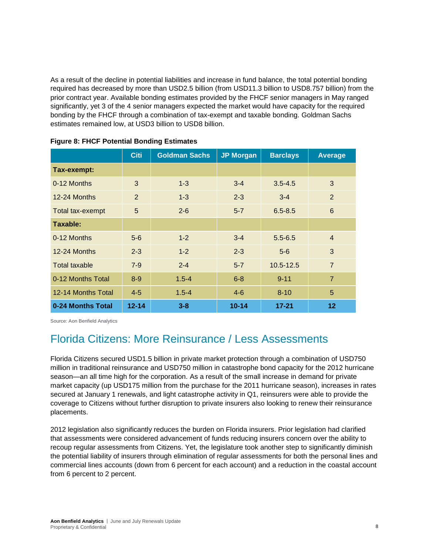As a result of the decline in potential liabilities and increase in fund balance, the total potential bonding required has decreased by more than USD2.5 billion (from USD11.3 billion to USD8.757 billion) from the prior contract year. Available bonding estimates provided by the FHCF senior managers in May ranged significantly, yet 3 of the 4 senior managers expected the market would have capacity for the required bonding by the FHCF through a combination of tax-exempt and taxable bonding. Goldman Sachs estimates remained low, at USD3 billion to USD8 billion.

|                    | <b>Citi</b> | <b>Goldman Sachs</b> | <b>JP Morgan</b> | <b>Barclays</b> | <b>Average</b> |  |
|--------------------|-------------|----------------------|------------------|-----------------|----------------|--|
| Tax-exempt:        |             |                      |                  |                 |                |  |
| 0-12 Months        | 3           | $1 - 3$              | $3 - 4$          | $3.5 - 4.5$     | 3              |  |
| 12-24 Months       | 2           | $1 - 3$              | $2 - 3$          | $3 - 4$         | $\overline{2}$ |  |
| Total tax-exempt   | 5           | $2 - 6$              | $5 - 7$          | $6.5 - 8.5$     | 6              |  |
| Taxable:           |             |                      |                  |                 |                |  |
| 0-12 Months        | $5-6$       | $1 - 2$              | $3 - 4$          | $5.5 - 6.5$     | $\overline{4}$ |  |
| 12-24 Months       | $2 - 3$     | $1 - 2$              | $2 - 3$          | $5-6$           | 3              |  |
| Total taxable      | $7-9$       | $2 - 4$              | $5 - 7$          | 10.5-12.5       | $\overline{7}$ |  |
| 0-12 Months Total  | $8-9$       | $1.5 - 4$            | $6 - 8$          | $9 - 11$        | $\overline{7}$ |  |
| 12-14 Months Total | $4 - 5$     | $1.5 - 4$            | $4-6$            | $8 - 10$        | 5              |  |
| 0-24 Months Total  | $12 - 14$   | $3 - 8$              | $10 - 14$        | $17 - 21$       | 12             |  |

**Figure 8: FHCF Potential Bonding Estimates** 

Source: Aon Benfield Analytics

### Florida Citizens: More Reinsurance / Less Assessments

Florida Citizens secured USD1.5 billion in private market protection through a combination of USD750 million in traditional reinsurance and USD750 million in catastrophe bond capacity for the 2012 hurricane season—an all time high for the corporation. As a result of the small increase in demand for private market capacity (up USD175 million from the purchase for the 2011 hurricane season), increases in rates secured at January 1 renewals, and light catastrophe activity in Q1, reinsurers were able to provide the coverage to Citizens without further disruption to private insurers also looking to renew their reinsurance placements.

2012 legislation also significantly reduces the burden on Florida insurers. Prior legislation had clarified that assessments were considered advancement of funds reducing insurers concern over the ability to recoup regular assessments from Citizens. Yet, the legislature took another step to significantly diminish the potential liability of insurers through elimination of regular assessments for both the personal lines and commercial lines accounts (down from 6 percent for each account) and a reduction in the coastal account from 6 percent to 2 percent.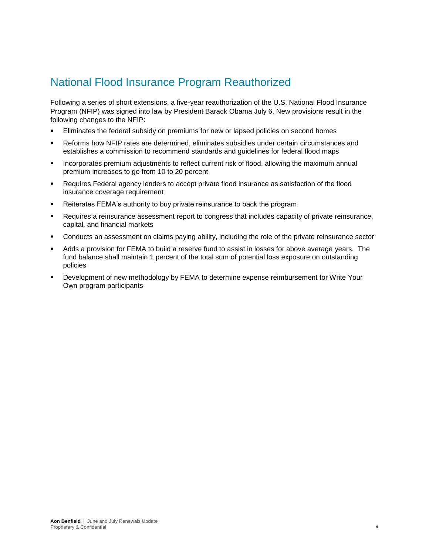### National Flood Insurance Program Reauthorized

Following a series of short extensions, a five-year reauthorization of the U.S. National Flood Insurance Program (NFIP) was signed into law by President Barack Obama July 6. New provisions result in the following changes to the NFIP:

- Eliminates the federal subsidy on premiums for new or lapsed policies on second homes
- Reforms how NFIP rates are determined, eliminates subsidies under certain circumstances and establishes a commission to recommend standards and guidelines for federal flood maps
- Incorporates premium adjustments to reflect current risk of flood, allowing the maximum annual premium increases to go from 10 to 20 percent
- Requires Federal agency lenders to accept private flood insurance as satisfaction of the flood insurance coverage requirement
- Reiterates FEMA's authority to buy private reinsurance to back the program
- Requires a reinsurance assessment report to congress that includes capacity of private reinsurance, capital, and financial markets
- Conducts an assessment on claims paying ability, including the role of the private reinsurance sector
- Adds a provision for FEMA to build a reserve fund to assist in losses for above average years. The fund balance shall maintain 1 percent of the total sum of potential loss exposure on outstanding policies
- Development of new methodology by FEMA to determine expense reimbursement for Write Your Own program participants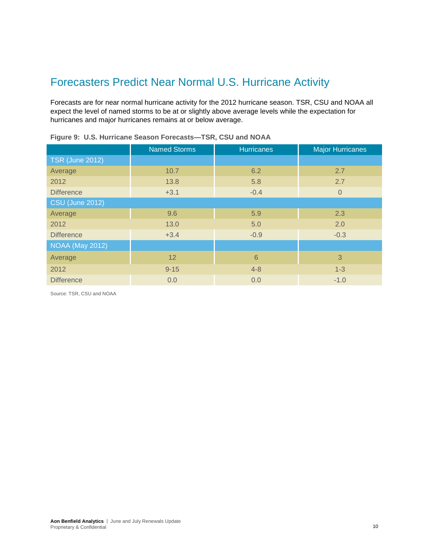### Forecasters Predict Near Normal U.S. Hurricane Activity

Forecasts are for near normal hurricane activity for the 2012 hurricane season. TSR, CSU and NOAA all expect the level of named storms to be at or slightly above average levels while the expectation for hurricanes and major hurricanes remains at or below average.

| <b>Named Storms</b> | <b>Hurricanes</b> | <b>Major Hurricanes</b> |  |  |  |  |  |  |
|---------------------|-------------------|-------------------------|--|--|--|--|--|--|
|                     |                   |                         |  |  |  |  |  |  |
| 10.7                | 6.2               | 2.7                     |  |  |  |  |  |  |
| 13.8                | 5.8               | 2.7                     |  |  |  |  |  |  |
| $+3.1$              | $-0.4$            | $\overline{0}$          |  |  |  |  |  |  |
|                     |                   |                         |  |  |  |  |  |  |
| 9.6                 | 5.9               | 2.3                     |  |  |  |  |  |  |
| 13.0                | 5.0               | 2.0                     |  |  |  |  |  |  |
| $+3.4$              | $-0.9$            | $-0.3$                  |  |  |  |  |  |  |
|                     |                   |                         |  |  |  |  |  |  |
| 12                  | $6\phantom{1}6$   | 3                       |  |  |  |  |  |  |
| $9 - 15$            | $4 - 8$           | $1 - 3$                 |  |  |  |  |  |  |
| 0.0                 | 0.0               | $-1.0$                  |  |  |  |  |  |  |
|                     |                   |                         |  |  |  |  |  |  |

|  |  | Figure 9: U.S. Hurricane Season Forecasts-TSR, CSU and NOAA |  |  |  |
|--|--|-------------------------------------------------------------|--|--|--|
|  |  |                                                             |  |  |  |

Source: TSR, CSU and NOAA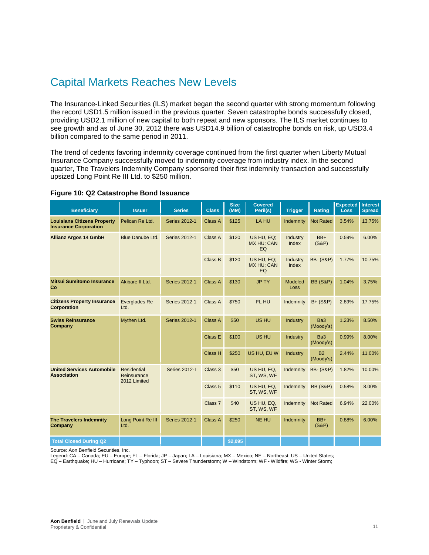### Capital Markets Reaches New Levels

The Insurance-Linked Securities (ILS) market began the second quarter with strong momentum following the record USD1.5 million issued in the previous quarter. Seven catastrophe bonds successfully closed, providing USD2.1 million of new capital to both repeat and new sponsors. The ILS market continues to see growth and as of June 30, 2012 there was USD14.9 billion of catastrophe bonds on risk, up USD3.4 billion compared to the same period in 2011.

The trend of cedents favoring indemnity coverage continued from the first quarter when Liberty Mutual Insurance Company successfully moved to indemnity coverage from industry index. In the second quarter, The Travelers Indemnity Company sponsored their first indemnity transaction and successfully upsized Long Point Re III Ltd. to \$250 million.

| <b>Beneficiary</b>                                                 | <b>Issuer</b>                                     | <b>Series</b>        | <b>Class</b>       | <b>Size</b><br>(MM) | <b>Covered</b><br>Peril(s)     | <b>Trigger</b>    | Rating                       | <b>Expected</b><br><b>Loss</b> | <b>Interest</b><br><b>Spread</b> |
|--------------------------------------------------------------------|---------------------------------------------------|----------------------|--------------------|---------------------|--------------------------------|-------------------|------------------------------|--------------------------------|----------------------------------|
| <b>Louisiana Citizens Property</b><br><b>Insurance Corporation</b> | Pelican Re Ltd.                                   | <b>Series 2012-1</b> | Class A            | \$125               | LA HU                          | Indemnity         | <b>Not Rated</b>             | 3.54%                          | 13.75%                           |
| <b>Allianz Argos 14 GmbH</b>                                       | <b>Blue Danube Ltd.</b>                           | Series 2012-1        | Class A            | \$120               | US HU, EQ:<br>MX HU; CAN<br>EQ | Industry<br>Index | $BB+$<br>$(S\&P)$            | 0.59%                          | 6.00%                            |
|                                                                    |                                                   |                      | Class B            | \$120               | US HU, EQ;<br>MX HU; CAN<br>EQ | Industry<br>Index | <b>BB- (S&amp;P)</b>         | 1.77%                          | 10.75%                           |
| <b>Mitsui Sumitomo Insurance</b><br>Co                             | Akibare II Ltd.                                   | <b>Series 2012-1</b> | Class A            | \$130               | <b>JP TY</b>                   | Modeled<br>Loss   | <b>BB (S&amp;P)</b>          | 1.04%                          | 3.75%                            |
| <b>Citizens Property Insurance</b><br><b>Corporation</b>           | <b>Everglades Re</b><br>Ltd.                      | Series 2012-1        | Class A            | \$750               | FL HU                          | Indemnity         | $B+ (S\&P)$                  | 2.89%                          | 17.75%                           |
| <b>Swiss Reinsurance</b><br>Company                                | Mythen Ltd.                                       | Series 2012-1        | Class A            | \$50                | US HU                          | Industry          | Ba <sub>3</sub><br>(Moody's) | 1.23%                          | 8.50%                            |
|                                                                    |                                                   |                      | Class E            | \$100               | US HU                          | Industry          | Ba <sub>3</sub><br>(Moody's) | 0.99%                          | 8.00%                            |
|                                                                    |                                                   |                      | Class H            | \$250               | US HU, EU W                    | Industry          | <b>B2</b><br>(Moody's)       | 2.44%                          | 11.00%                           |
| <b>United Services Automobile</b><br><b>Association</b>            | <b>Residential</b><br>Reinsurance<br>2012 Limited | Series 2012-I        | Class 3            | \$50                | US HU, EQ,<br>ST, WS, WF       | Indemnity         | <b>BB- (S&amp;P)</b>         | 1.82%                          | 10.00%                           |
|                                                                    |                                                   |                      | Class <sub>5</sub> | \$110               | US HU, EQ,<br>ST, WS, WF       | Indemnity         | <b>BB (S&amp;P)</b>          | 0.58%                          | 8.00%                            |
|                                                                    |                                                   |                      | Class <sub>7</sub> | \$40                | US HU, EQ,<br>ST, WS, WF       | Indemnity         | <b>Not Rated</b>             | 6.94%                          | 22.00%                           |
| <b>The Travelers Indemnity</b><br>Company                          | Long Point Re III<br>Ltd.                         | <b>Series 2012-1</b> | Class A            | \$250               | <b>NE HU</b>                   | Indemnity         | $BB+$<br>$(S\&P)$            | 0.88%                          | 6.00%                            |
| <b>Total Closed During Q2</b>                                      |                                                   |                      |                    | \$2,095             |                                |                   |                              |                                |                                  |

#### **Figure 10: Q2 Catastrophe Bond Issuance**

Source: Aon Benfield Securities, Inc.

Legend: CA – Canada; EU – Europe; FL – Florida; JP – Japan; LA – Louisiana; MX – Mexico; NE – Northeast; US – United States;

EQ – Earthquake; HU – Hurricane; TY – Typhoon; ST – Severe Thunderstorm; W – Windstorm; WF - Wildfire; WS - Winter Storm;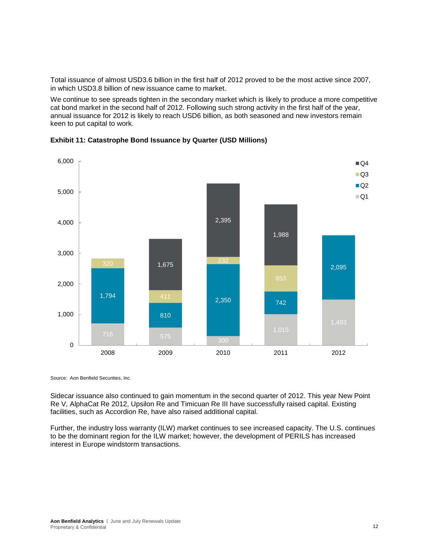Total issuance of almost USD3.6 billion in the first half of 2012 proved to be the most active since 2007, in which USD3.8 billion of new issuance came to market.

We continue to see spreads tighten in the secondary market which is likely to produce a more competitive cat bond market in the second half of 2012. Following such strong activity in the first half of the year, annual issuance for 2012 is likely to reach USD6 billion, as both seasoned and new investors remain keen to put capital to work.



**Exhibit 11: Catastrophe Bond Issuance by Quarter (USD Millions)**

Source: Aon Benfield Securities, Inc.

Sidecar issuance also continued to gain momentum in the second quarter of 2012. This year New Point Re V, AlphaCat Re 2012, Upsilon Re and Timicuan Re III have successfully raised capital. Existing facilities, such as Accordion Re, have also raised additional capital.

Further, the industry loss warranty (ILW) market continues to see increased capacity. The U.S. continues to be the dominant region for the ILW market; however, the development of PERILS has increased interest in Europe windstorm transactions.